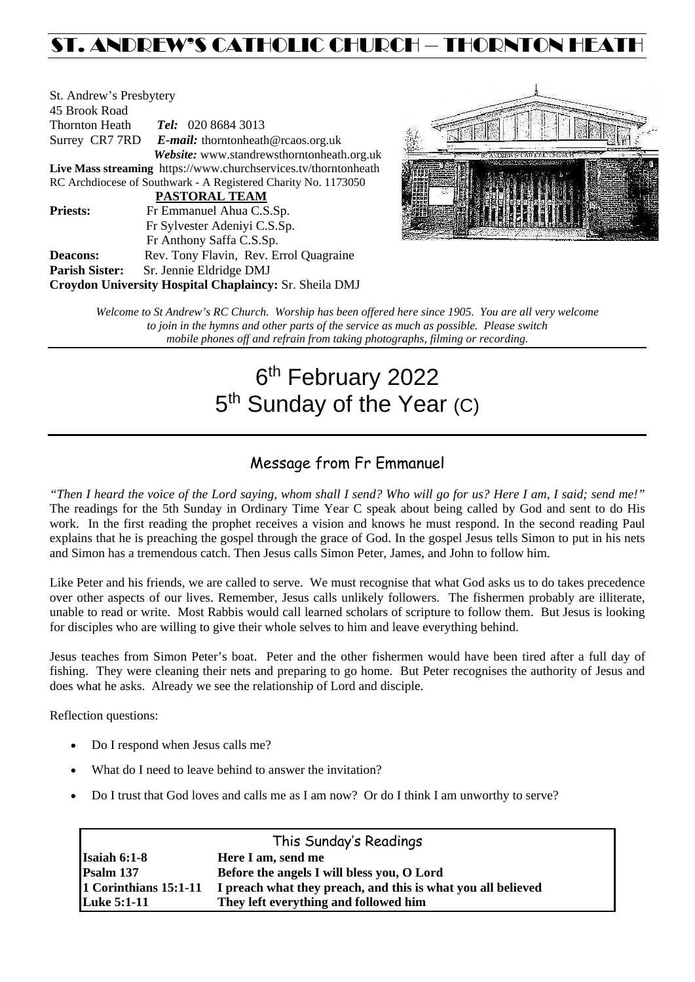# ST. ANDREW'S CATHOLIC CHURCH – THORNTON HEATH

| St. Andrew's Presbytery |                                                                 |  |  |  |  |
|-------------------------|-----------------------------------------------------------------|--|--|--|--|
| 45 Brook Road           |                                                                 |  |  |  |  |
| Thornton Heath          | Tel: 020 8684 3013                                              |  |  |  |  |
|                         | Surrey CR7 7RD E-mail: thorntonheath@rcaos.org.uk               |  |  |  |  |
|                         | Website: www.standrewsthorntonheath.org.uk                      |  |  |  |  |
|                         | Live Mass streaming https://www.churchservices.tv/thorntonheath |  |  |  |  |
|                         | RC Archdiocese of Southwark - A Registered Charity No. 1173050  |  |  |  |  |
|                         | <b>PASTORAL TEAM</b>                                            |  |  |  |  |
| <b>Priests:</b>         | Fr Emmanuel Ahua C.S.Sp.                                        |  |  |  |  |
|                         | Fr Sylvester Adeniyi C.S.Sp.                                    |  |  |  |  |
|                         | Fr Anthony Saffa C.S.Sp.                                        |  |  |  |  |
| <b>Deacons:</b>         | Rev. Tony Flavin, Rev. Errol Quagraine                          |  |  |  |  |
| <b>Parish Sister:</b>   | Sr. Jennie Eldridge DMJ                                         |  |  |  |  |
|                         | Croydon University Hospital Chaplaincy: Sr. Sheila DMJ          |  |  |  |  |



*Welcome to St Andrew's RC Church. Worship has been offered here since 1905. You are all very welcome to join in the hymns and other parts of the service as much as possible. Please switch mobile phones off and refrain from taking photographs, filming or recording.*

# 6<sup>th</sup> February 2022 5<sup>th</sup> Sunday of the Year (C)

# Message from Fr Emmanuel

*"Then I heard the voice of the Lord saying, whom shall I send? Who will go for us? Here I am, I said; send me!"* The readings for the 5th Sunday in Ordinary Time Year C speak about being called by God and sent to do His work. In the first reading the prophet receives a vision and knows he must respond. In the second reading Paul explains that he is preaching the gospel through the grace of God. In the gospel Jesus tells Simon to put in his nets and Simon has a tremendous catch. Then Jesus calls Simon Peter, James, and John to follow him.

Like Peter and his friends, we are called to serve. We must recognise that what God asks us to do takes precedence over other aspects of our lives. Remember, Jesus calls unlikely followers. The fishermen probably are illiterate, unable to read or write. Most Rabbis would call learned scholars of scripture to follow them. But Jesus is looking for disciples who are willing to give their whole selves to him and leave everything behind.

Jesus teaches from Simon Peter's boat. Peter and the other fishermen would have been tired after a full day of fishing. They were cleaning their nets and preparing to go home. But Peter recognises the authority of Jesus and does what he asks. Already we see the relationship of Lord and disciple.

Reflection questions:

- Do I respond when Jesus calls me?
- What do I need to leave behind to answer the invitation?
- Do I trust that God loves and calls me as I am now? Or do I think I am unworthy to serve?

| This Sunday's Readings |                                                              |  |  |  |
|------------------------|--------------------------------------------------------------|--|--|--|
| Isaiah $6:1-8$         | Here I am, send me                                           |  |  |  |
| Psalm 137              | Before the angels I will bless you, O Lord                   |  |  |  |
| 1 Corinthians 15:1-11  | I preach what they preach, and this is what you all believed |  |  |  |
| <b>Luke 5:1-11</b>     | They left everything and followed him                        |  |  |  |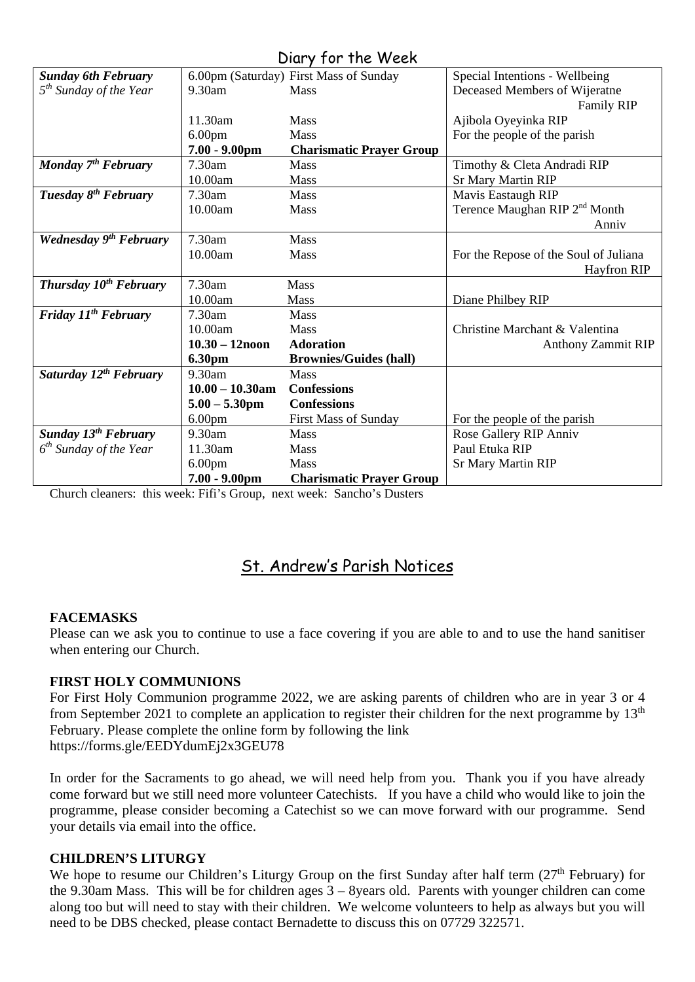# Diary for the Week

|                                    |                    | $1011$ $1011101$                       |                                           |
|------------------------------------|--------------------|----------------------------------------|-------------------------------------------|
| <b>Sunday 6th February</b>         |                    | 6.00pm (Saturday) First Mass of Sunday | Special Intentions - Wellbeing            |
| 5 <sup>th</sup> Sunday of the Year | 9.30am             | <b>Mass</b>                            | Deceased Members of Wijeratne             |
|                                    |                    |                                        | <b>Family RIP</b>                         |
|                                    | 11.30am            | Mass                                   | Ajibola Oyeyinka RIP                      |
|                                    | 6.00 <sub>pm</sub> | <b>Mass</b>                            | For the people of the parish              |
|                                    | $7.00 - 9.00$ pm   | <b>Charismatic Prayer Group</b>        |                                           |
| Monday $7th$ February              | 7.30am             | <b>Mass</b>                            | Timothy & Cleta Andradi RIP               |
|                                    | 10.00am            | Mass                                   | <b>Sr Mary Martin RIP</b>                 |
| Tuesday 8 <sup>th</sup> February   | 7.30am             | Mass                                   | Mavis Eastaugh RIP                        |
|                                    | 10.00am            | <b>Mass</b>                            | Terence Maughan RIP 2 <sup>nd</sup> Month |
|                                    |                    |                                        | Anniv                                     |
| Wednesday 9 <sup>th</sup> February | 7.30am             | <b>Mass</b>                            |                                           |
|                                    | 10.00am            | Mass                                   | For the Repose of the Soul of Juliana     |
|                                    |                    |                                        | Hayfron RIP                               |
| Thursday 10 <sup>th</sup> February | 7.30am             | <b>Mass</b>                            |                                           |
|                                    | 10.00am            | <b>Mass</b>                            | Diane Philbey RIP                         |
| Friday 11 <sup>th</sup> February   | 7.30am             | <b>Mass</b>                            |                                           |
|                                    | 10.00am            | <b>Mass</b>                            | Christine Marchant & Valentina            |
|                                    | $10.30 - 12$ noon  | <b>Adoration</b>                       | Anthony Zammit RIP                        |
|                                    | <b>6.30pm</b>      | <b>Brownies/Guides (hall)</b>          |                                           |
| Saturday 12 <sup>th</sup> February | 9.30am             | <b>Mass</b>                            |                                           |
|                                    | $10.00 - 10.30$ am | <b>Confessions</b>                     |                                           |
|                                    | $5.00 - 5.30$ pm   | <b>Confessions</b>                     |                                           |
|                                    | 6.00 <sub>pm</sub> | <b>First Mass of Sunday</b>            | For the people of the parish              |
| <b>Sunday 13th February</b>        | $9.30$ am          | <b>Mass</b>                            | Rose Gallery RIP Anniv                    |
| $6th$ Sunday of the Year           | 11.30am            | <b>Mass</b>                            | Paul Etuka RIP                            |
|                                    | 6.00 <sub>pm</sub> | Mass                                   | <b>Sr Mary Martin RIP</b>                 |
|                                    | $7.00 - 9.00$ pm   | <b>Charismatic Prayer Group</b>        |                                           |

Church cleaners: this week: Fifi's Group, next week: Sancho's Dusters

# St. Andrew's Parish Notices

# **FACEMASKS**

Please can we ask you to continue to use a face covering if you are able to and to use the hand sanitiser when entering our Church.

# **FIRST HOLY COMMUNIONS**

For First Holy Communion programme 2022, we are asking parents of children who are in year 3 or 4 from September 2021 to complete an application to register their children for the next programme by 13<sup>th</sup> February. Please complete the online form by following the link <https://forms.gle/EEDYdumEj2x3GEU78>

In order for the Sacraments to go ahead, we will need help from you. Thank you if you have already come forward but we still need more volunteer Catechists. If you have a child who would like to join the programme, please consider becoming a Catechist so we can move forward with our programme. Send your details via email into the office.

# **CHILDREN'S LITURGY**

We hope to resume our Children's Liturgy Group on the first Sunday after half term (27<sup>th</sup> February) for the 9.30am Mass. This will be for children ages 3 – 8years old. Parents with younger children can come along too but will need to stay with their children. We welcome volunteers to help as always but you will need to be DBS checked, please contact Bernadette to discuss this on 07729 322571.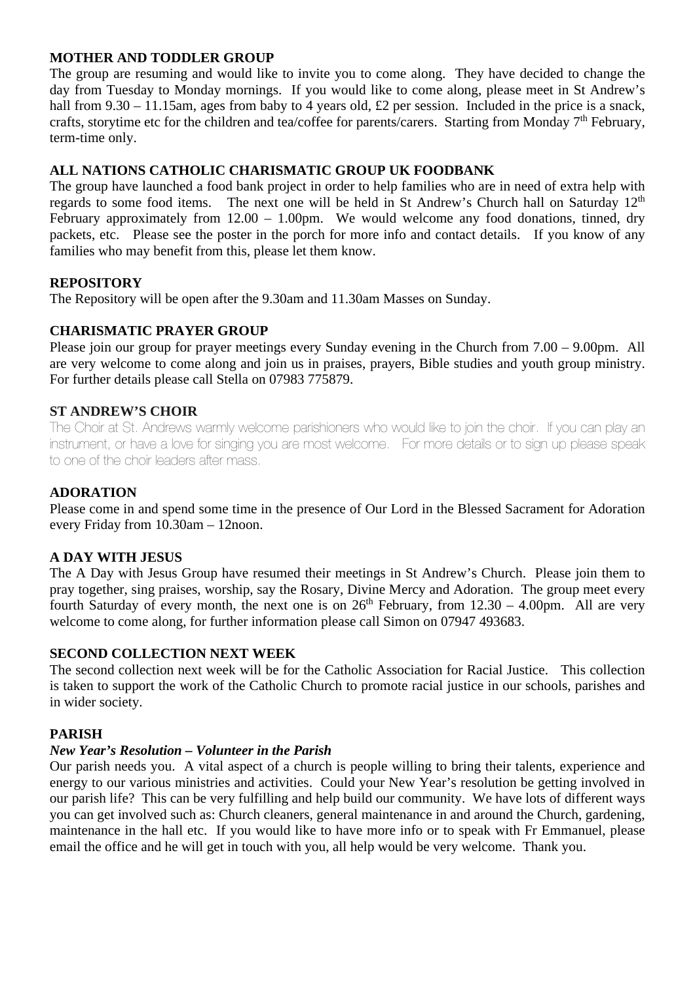# **MOTHER AND TODDLER GROUP**

The group are resuming and would like to invite you to come along. They have decided to change the day from Tuesday to Monday mornings. If you would like to come along, please meet in St Andrew's hall from 9.30 – 11.15am, ages from baby to 4 years old, £2 per session. Included in the price is a snack, crafts, storytime etc for the children and tea/coffee for parents/carers. Starting from Monday  $7<sup>th</sup>$  February, term-time only.

# **ALL NATIONS CATHOLIC CHARISMATIC GROUP UK FOODBANK**

The group have launched a food bank project in order to help families who are in need of extra help with regards to some food items. The next one will be held in St Andrew's Church hall on Saturday 12<sup>th</sup> February approximately from  $12.00 - 1.00$  pm. We would welcome any food donations, tinned, dry packets, etc. Please see the poster in the porch for more info and contact details. If you know of any families who may benefit from this, please let them know.

# **REPOSITORY**

The Repository will be open after the 9.30am and 11.30am Masses on Sunday.

# **CHARISMATIC PRAYER GROUP**

Please join our group for prayer meetings every Sunday evening in the Church from 7.00 – 9.00pm. All are very welcome to come along and join us in praises, prayers, Bible studies and youth group ministry. For further details please call Stella on 07983 775879.

# **ST ANDREW'S CHOIR**

The Choir at St. Andrews warmly welcome parishioners who would like to join the choir. If you can play an instrument, or have a love for singing you are most welcome. For more details or to sign up please speak to one of the choir leaders after mass.

# **ADORATION**

Please come in and spend some time in the presence of Our Lord in the Blessed Sacrament for Adoration every Friday from 10.30am – 12noon.

# **A DAY WITH JESUS**

The A Day with Jesus Group have resumed their meetings in St Andrew's Church. Please join them to pray together, sing praises, worship, say the Rosary, Divine Mercy and Adoration. The group meet every fourth Saturday of every month, the next one is on  $26<sup>th</sup>$  February, from  $12.30 - 4.00$ pm. All are very welcome to come along, for further information please call Simon on 07947 493683.

# **SECOND COLLECTION NEXT WEEK**

The second collection next week will be for the Catholic Association for Racial Justice. This collection is taken to support the work of the Catholic Church to promote racial justice in our schools, parishes and in wider society.

# **PARISH**

# *New Year's Resolution – Volunteer in the Parish*

Our parish needs you. A vital aspect of a church is people willing to bring their talents, experience and energy to our various ministries and activities. Could your New Year's resolution be getting involved in our parish life? This can be very fulfilling and help build our community. We have lots of different ways you can get involved such as: Church cleaners, general maintenance in and around the Church, gardening, maintenance in the hall etc. If you would like to have more info or to speak with Fr Emmanuel, please email the office and he will get in touch with you, all help would be very welcome. Thank you.